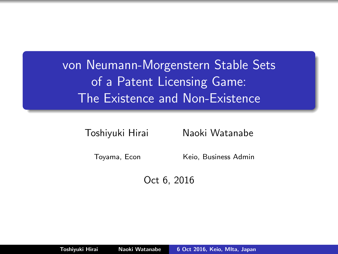von Neumann-Morgenstern Stable Sets of a Patent Licensing Game: The Existence and Non-Existence

Toshiyuki Hirai Naoki Watanabe

Toyama, Econ Keio, Business Admin

<span id="page-0-0"></span>Oct 6, 2016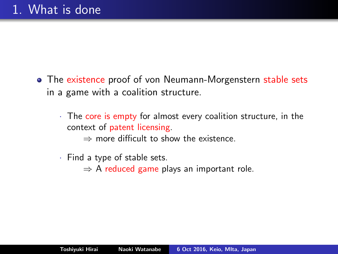- The existence proof of von Neumann-Morgenstern stable sets in a game with a coalition structure.
	- $\cdot$  The core is empty for almost every coalition structure, in the context of patent licensing.
		- $\Rightarrow$  more difficult to show the existence.
	- · Find a type of stable sets.
		- $\Rightarrow$  A reduced game plays an important role.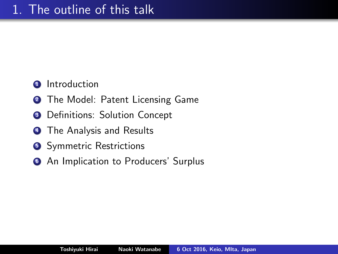- Introduction
- The Model: Patent Licensing Game
- Definitions: Solution Concept
- The Analysis and Results
- Symmetric Restrictions
- **6** An Implication to Producers' Surplus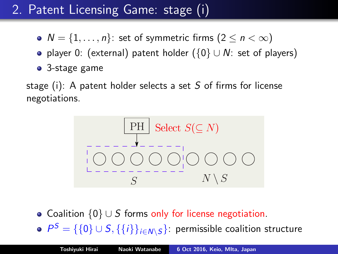# 2. Patent Licensing Game: stage (i)

- $N = \{1, \ldots, n\}$ : set of symmetric firms  $(2 \leq n < \infty)$
- player 0: (external) patent holder ( $\{0\} \cup N$ : set of players)
- 3-stage game

stage (i): A patent holder selects a set S of firms for license negotiations.



- Coalition  $\{0\} \cup S$  forms only for license negotiation.
- $P^{\mathcal{S}} = \{\{0\} \cup \mathcal{S}, \{\{i\}\}_{i \in \mathcal{N} \setminus \mathcal{S}}\}$ : permissible coalition structure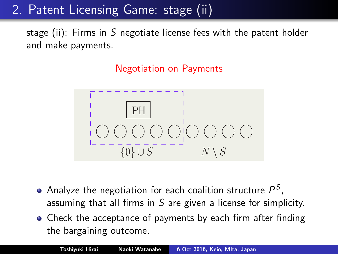2. Patent Licensing Game: stage (ii)

stage (ii): Firms in S negotiate license fees with the patent holder and make payments.

Negotiation on Payments



- Analyze the negotiation for each coalition structure  $P^{\mathcal{S}},$ assuming that all firms in S are given a license for simplicity.
- Check the acceptance of payments by each firm after finding the bargaining outcome.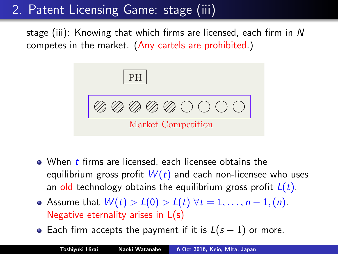# 2. Patent Licensing Game: stage (iii)

stage (iii): Knowing that which firms are licensed, each firm in N competes in the market. (Any cartels are prohibited.)



- $\bullet$  When  $t$  firms are licensed, each licensee obtains the equilibrium gross profit  $W(t)$  and each non-licensee who uses an old technology obtains the equilibrium gross profit  $L(t)$ .
- Assume that  $W(t) > L(0) > L(t)$   $\forall t = 1, \ldots, n-1, (n)$ . Negative eternality arises in L(s)
- Each firm accepts the payment if it is  $L(s 1)$  or more.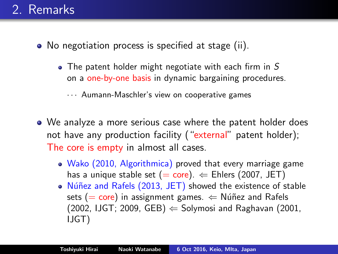## 2. Remarks

- No negotiation process is specified at stage (ii).
	- $\bullet$  The patent holder might negotiate with each firm in S on a one-by-one basis in dynamic bargaining procedures.

· · · Aumann-Maschler's view on cooperative games

- We analyze a more serious case where the patent holder does not have any production facility ("external" patent holder); The core is empty in almost all cases.
	- Wako (2010, Algorithmica) proved that every marriage game has a unique stable set  $(= core)$ .  $\Leftarrow$  Ehlers (2007, JET)
	- Núñez and Rafels (2013, JET) showed the existence of stable sets (= core) in assignment games.  $\Leftarrow$  Núñez and Rafels (2002, IJGT; 2009, GEB)  $\Leftarrow$  Solymosi and Raghavan (2001, IJGT)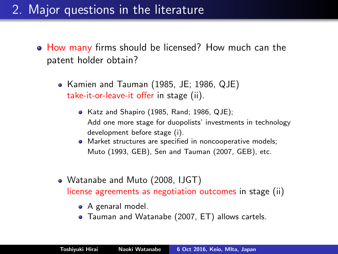## 2. Major questions in the literature

- How many firms should be licensed? How much can the patent holder obtain?
	- Kamien and Tauman (1985, JE; 1986, QJE) take-it-or-leave-it offer in stage (ii).
		- Katz and Shapiro (1985, Rand; 1986, QJE); Add one more stage for duopolists' investments in technology development before stage (i).
		- **•** Market structures are specified in noncooperative models; Muto (1993, GEB), Sen and Tauman (2007, GEB), etc.
	- Watanabe and Muto (2008, IJGT) license agreements as negotiation outcomes in stage (ii)
		- A genaral model.
		- Tauman and Watanabe (2007, ET) allows cartels.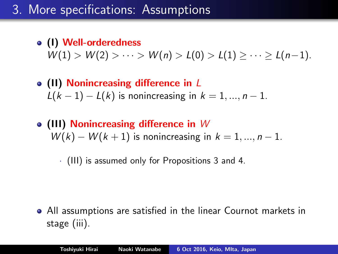# 3. More specifications: Assumptions

- (I) Well-orderedness  $W(1) > W(2) > \cdots > W(n) > L(0) > L(1) \geq \cdots > L(n-1).$
- (II) Nonincreasing difference in L  $L(k - 1) - L(k)$  is nonincreasing in  $k = 1, ..., n - 1$ .
- $\bullet$  (III) Nonincreasing difference in W  $W(k) - W(k+1)$  is nonincreasing in  $k = 1, ..., n-1$ .

· (III) is assumed only for Propositions 3 and 4.

All assumptions are satisfied in the linear Cournot markets in stage (iii).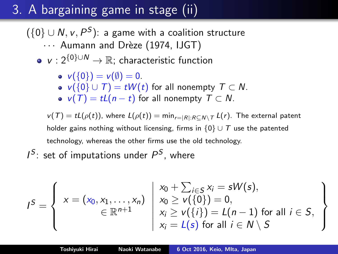# 3. A bargaining game in stage (ii)

 $(\{0\} \cup N, \nu, P^S)$ : a game with a coalition structure

- ... Aumann and Drèze (1974, IJGT)
- $v : 2^{\{0\} \cup N} \rightarrow \mathbb{R}$ ; characteristic function

$$
\bullet \ \mathsf{v}(\{0\})=\mathsf{v}(\emptyset)=0.
$$

- $v({0} \cup T) = tW(t)$  for all nonempty  $T \subset N$ .
- $v(T) = tL(n t)$  for all nonempty  $T \subset N$ .

 $v(T) = tL(\rho(t))$ , where  $L(\rho(t)) = \min_{r=|R|:R\subseteq N\setminus T} L(r)$ . The external patent holder gains nothing without licensing, firms in  $\{0\} \cup \mathcal{T}$  use the patented technology, whereas the other firms use the old technology.

 $I^S$ : set of imputations under  $P^S$ , where

$$
I^{S} = \left\{\begin{array}{l} x = (x_0, x_1, \ldots, x_n) \\ \in \mathbb{R}^{n+1} \end{array} \middle| \begin{array}{l} x_0 + \sum_{i \in S} x_i = sW(s), \\ x_0 \geq v(\{0\}) = 0, \\ x_i \geq v(\{i\}) = L(n-1) \text{ for all } i \in S, \\ x_i = L(s) \text{ for all } i \in N \setminus S \end{array} \right.
$$

 $\mathcal{L}$  $\mathcal{L}$ 

 $\int$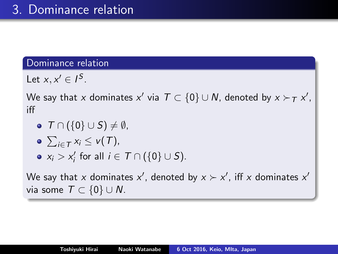#### Dominance relation

Let  $x, x' \in I^S$ .

We say that  $x$  dominates  $x'$  via  $\mathcal{T} \subset \{0\} \cup \mathcal{N}$ , denoted by  $x \succ_\mathcal{T} x',$ iff

- $\bullet$   $\top \cap (\{0\} \cup S) \neq \emptyset$ ,
- $\sum_{i\in\mathcal{T}}x_i\leq \nu(\mathcal{T}),$
- $x_i > x'_i$  for all  $i \in \mathcal{T} \cap (\{0\} \cup S)$ .

We say that x dominates  $x'$ , denoted by  $x \succ x'$ , iff x dominates  $x'$ via some  $T \subset \{0\} \cup N$ .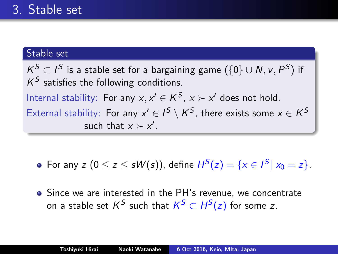### Stable set

 $\mathcal{K}^S \subset I^S$  is a stable set for a bargaining game  $(\{0\} \cup \mathcal{N}, \mathcal{V}, P^S)$  if  $K^S$  satisfies the following conditions. Internal stability: For any  $x, x' \in K^S$ ,  $x \succ x'$  does not hold. External stability: For any  $x' \in I^S \setminus K^S$ , there exists some  $x \in K^S$ such that  $x \succ x'$ .

For any  $z$   $(0 \le z \le sW(s))$ , define  $H^{S}(z) = \{x \in I^{S} | x_0 = z\}.$ 

Since we are interested in the PH's revenue, we concentrate on a stable set  $\mathsf{K}^\mathcal{S}$  such that  $\mathsf{K}^\mathcal{S} \subset H^\mathcal{S}(\mathsf{z})$  for some  $\mathsf{z}.$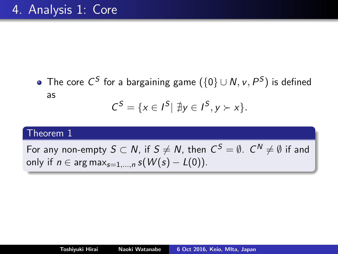The core  $\mathsf{C}^\mathsf{S}$  for a bargaining game  $(\{0\} \cup \mathsf{N}, \mathsf{v}, \mathsf{P}^\mathsf{S})$  is defined as  $C^{S} = \{x \in I^{S} | \exists y \in I^{S}, y \succ x\}.$ 

#### Theorem 1

For any non-empty  $S\subset N$ , if  $S\neq N$ , then  $\,mathcal{C}^S=\emptyset$ .  $\,\mathcal{C}^N\neq\emptyset$  if and only if  $n \in \arg \max_{s=1,...,n} s(W(s) - L(0)).$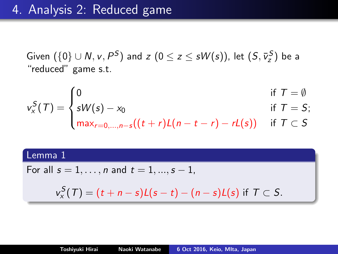Given  $(\{0\} \cup N, v, P^S)$  and  $z$   $(0 \leq z \leq sW(s))$ , let  $(S, \bar{v}_z^S)$  be a "reduced" game s.t.

$$
v_x^S(T) = \begin{cases} 0 & \text{if } T = \emptyset \\ sW(s) - x_0 & \text{if } T = S; \end{cases}
$$

$$
\left(\max_{r=0,\ldots,n-s}((t+r)L(n-t-r)-rL(s))\right) \text{ if } T\subset S
$$

### Lemma 1

For all 
$$
s = 1, ..., n
$$
 and  $t = 1, ..., s - 1$ ,

$$
v_x^S(T)=(t+n-s)L(s-t)-(n-s)L(s) \text{ if } T\subset S.
$$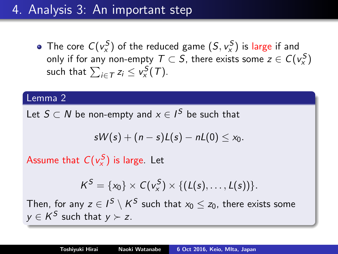## 4. Analysis 3: An important step

The core  $C(v_x^S)$  of the reduced game  $(S, v_x^S)$  is large if and only if for any non-empty  $\mathcal{T} \subset \mathcal{S}$ , there exists some  $z \in \mathcal{C}(v_{\mathsf{x}}^{\mathcal{S}})$ such that  $\sum_{i\in\mathcal{T}}z_i\leq \mathsf{v}_\mathsf{x}^\mathcal{S}(\mathcal{T}).$ 

### Lemma 2

Let  $S\subset N$  be non-empty and  $x\in I^S$  be such that

$$
sW(s)+(n-s)L(s)-nL(0)\leq x_0.
$$

Assume that  $C(v_x^S)$  is large. Let

$$
K^S = \{x_0\} \times C(v_x^S) \times \{ (L(s), \ldots, L(s)) \}.
$$

Then, for any  $z\in I^S\setminus \mathcal{K}^S$  such that  $x_0\leq z_0$ , there exists some  $y \in K^S$  such that  $y \succ z$ .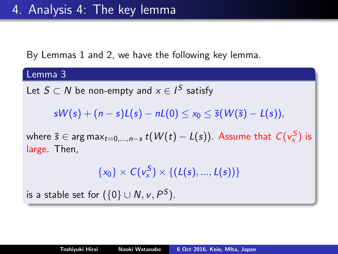By Lemmas 1 and 2, we have the following key lemma.

Lemma 3 Let  $S\subset N$  be non-empty and  $x\in I^\mathcal{S}$  satisfy  $sW(s) + (n - s)L(s) - nL(0) \leq x_0 \leq \bar{s}(W(\bar{s}) - L(s)),$ where  $\bar{s}\in\arg\max_{t=0,...,n-s}t(\mathcal{W}(t)-\mathcal{L}(s)).$  Assume that  $\mathcal{C}(v_{\chi}^{\mathcal{S}})$  is large. Then,  $\{x_0\} \times C(v_x^S) \times \{ (L(s), ..., L(s)) \}$ is a stable set for  $(\{0\} \cup N, \nu, P^S)$ .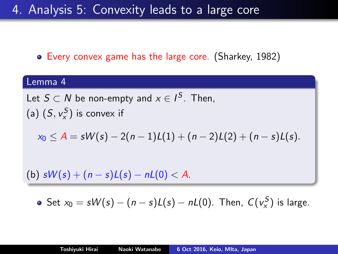### 4. Analysis 5: Convexity leads to a large core

### Every convex game has the large core. (Sharkey, 1982)

# Lemma 4 Let  $S \subset N$  be non-empty and  $x \in I^S$ . Then, (a)  $(S, v_x^S)$  is convex if

$$
x_0 \leq A = sW(s) - 2(n-1)L(1) + (n-2)L(2) + (n-s)L(s).
$$

(b)  $sW(s) + (n - s)L(s) - nL(0) < A$ .

• Set 
$$
x_0 = sW(s) - (n - s)L(s) - nL(0)
$$
. Then,  $C(v_x^S)$  is large.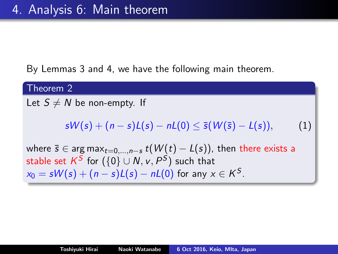By Lemmas 3 and 4, we have the following main theorem.

### Theorem 2

Let  $S \neq N$  be non-empty. If

$$
sW(s) + (n-s)L(s) - nL(0) \leq \bar{s}(W(\bar{s}) - L(s)), \qquad (1)
$$

where  $\bar{s} \in \arg \max_{t=0,...,n-s} t(W(t) - L(s))$ , then there exists a stable set  $\mathsf{K}^\mathcal{S}$  for  $(\{0\} \cup \mathsf{N}, \mathsf{v}, \mathsf{P}^\mathcal{S})$  such that  $x_0 = sW(s) + (n - s)L(s) - nL(0)$  for any  $x \in K^S$ .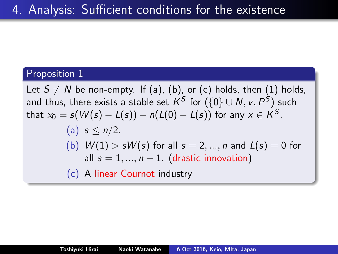### Proposition 1

Let  $S \neq N$  be non-empty. If (a), (b), or (c) holds, then (1) holds, and thus, there exists a stable set  $\mathsf{K}^\mathcal{S}$  for  $(\{0\} \cup \mathsf{N}, \mathsf{v}, \mathsf{P}^\mathcal{S})$  such that  $x_0 = s(\mathcal{W}(s) - \mathcal{L}(s)) - n(\mathcal{L}(0) - \mathcal{L}(s))$  for any  $x \in K^S.$ 

\n- (a) 
$$
s \le n/2
$$
.
\n- (b)  $W(1) > sW(s)$  for all  $s = 2, \ldots, n$  and  $L(s) = 0$  for all  $s = 1, \ldots, n-1$ . (drastic innovation)
\n

(c) A linear Cournot industry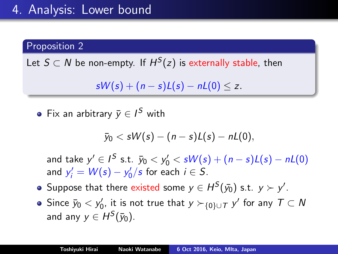## 4. Analysis: Lower bound

### Proposition 2

Let  $S\subset N$  be non-empty. If  $H^S(z)$  is externally stable, then

 $sW(s) + (n - s)L(s) - nL(0) \le z$ .

Fix an arbitrary  $\bar{y} \in I^S$  with

$$
\bar{y}_0 < sW(s) - (n-s)L(s) - nL(0),
$$

and take  $y' \in I^S$  s.t.  $\bar{y}_0 < y'_0 < sW(s) + (n - s)L(s) - nL(0)$ and  $y'_i = W(s) - y'_0/s$  for each  $i \in S$ .

- Suppose that there existed some  $y \in H^S(\bar{y_0})$  s.t.  $y \succ y'.$
- Since  $\bar{y}_0 < y'_0$ , it is not true that  $y \succ_{\{0\} \cup \mathcal{T}} y'$  for any  $\mathcal{T} \subset \mathsf{N}$ and any  $y \in H^S(\bar{y}_0)$ .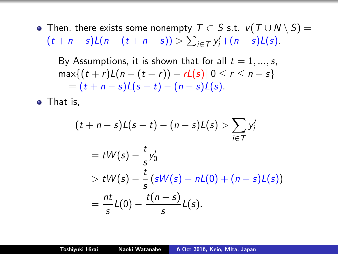• Then, there exists some nonempty  $T \subset S$  s.t.  $v(T \cup N \setminus S) =$  $(t + n - s)L(n - (t + n - s)) > \sum_{i \in T} y'_i + (n - s)L(s).$ 

By Assumptions, it is shown that for all  $t = 1, ..., s$ ,  $max\{(t + r)L(n - (t + r)) - rL(s) | 0 \le r \le n - s\}$  $= (t + n - s)L(s - t) - (n - s)L(s).$ 

• That is.

$$
(t + n - s)L(s - t) - (n - s)L(s) > \sum_{i \in T} y'_i
$$
  
=  $tW(s) - \frac{t}{s}y'_0$   
>  $tW(s) - \frac{t}{s}(sW(s) - nL(0) + (n - s)L(s))$   
=  $\frac{nt}{s}L(0) - \frac{t(n - s)}{s}L(s).$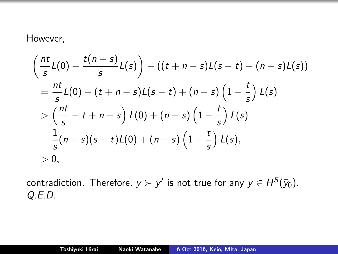### However,

$$
\left(\frac{nt}{s}L(0)-\frac{t(n-s)}{s}L(s)\right)-((t+n-s)L(s-t)-(n-s)L(s))
$$
\n
$$
=\frac{nt}{s}L(0)-(t+n-s)L(s-t)+(n-s)\left(1-\frac{t}{s}\right)L(s)
$$
\n
$$
>\left(\frac{nt}{s}-t+n-s\right)L(0)+(n-s)\left(1-\frac{t}{s}\right)L(s)
$$
\n
$$
=\frac{1}{s}(n-s)(s+t)L(0)+(n-s)\left(1-\frac{t}{s}\right)L(s),
$$
\n
$$
>0,
$$

contradiction. Therefore,  $y \succ y'$  is not true for any  $y \in H^S(\bar{y}_0).$ Q.E.D.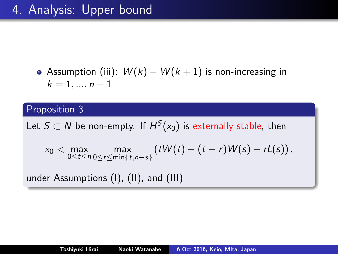## 4. Analysis: Upper bound

Assumption (iii):  $W(k) - W(k+1)$  is non-increasing in  $k = 1, ..., n - 1$ 

### Proposition 3

Let  $S \subset N$  be non-empty. If  $H^S(x_0)$  is externally stable, then

$$
x_0 < \max_{0 \leq t \leq n} \max_{0 \leq t \leq \min\{t,n-s\}} \left(tW(t)-(t-r)W(s)-rL(s)\right),
$$

under Assumptions (I), (II), and (III)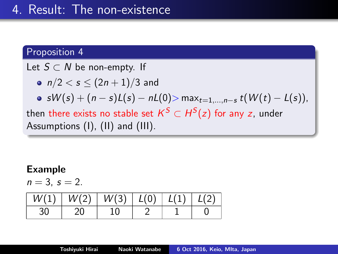#### Proposition 4

Let  $S \subset N$  be non-empty. If

$$
\bullet \ \ n/2 < s \leq (2n+1)/3 \ \text{and}
$$

• sW(s) +  $(n - s)L(s) - nL(0)$  max<sub>t=1,...,n-s</sub> t(W(t) – L(s)),

then there exists no stable set  $\mathcal{K}^S \subset H^S(z)$  for any  $z$ , under Assumptions (I), (II) and (III).

#### Example

$$
n=3,\,s=2.
$$

| W(1) | W(2) | W(3) | L(0) | L(1) |  |
|------|------|------|------|------|--|
| 30   |      | 10   |      |      |  |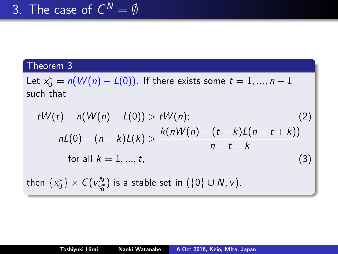### Theorem 3

Let  $x_0^* = n(W(n) - L(0))$ . If there exists some  $t = 1, ..., n - 1$ such that

$$
tW(t) - n(W(n) - L(0)) > tW(n); \qquad (2)
$$
  
\n
$$
nL(0) - (n - k)L(k) > \frac{k(nW(n) - (t - k)L(n - t + k))}{n - t + k}
$$
  
\nfor all  $k = 1, ..., t$ , (3)

then  $\{x_0^*\}\times C(v_{x_0^*}^N)$  is a stable set in  $(\{0\}\cup N, \nu).$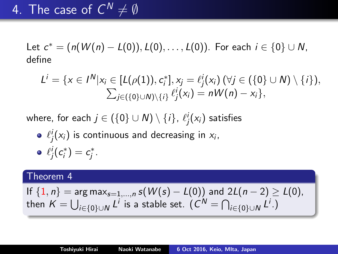Let  $c^* = (n(W(n) - L(0)), L(0), \ldots, L(0)).$  For each  $i \in \{0\} \cup N$ , define

$$
L^{i} = \{x \in I^{N}|x_{i} \in [L(\rho(1)), c_{i}^{*}], x_{j} = \ell_{j}^{i}(x_{i}) \ (\forall j \in (\{0\} \cup N) \setminus \{i\}),
$$
  

$$
\sum_{j \in (\{0\} \cup N) \setminus \{i\}} \ell_{j}^{i}(x_{i}) = nW(n) - x_{i}\},\
$$

where, for each  $j\in \left( \{0\}\cup \textsf{N}\right) \setminus \{i\}$ ,  $\ell^i_j(\mathsf{x}_i)$  satisfies

 $\ell^i_j(\mathsf{x}_i)$  is continuous and decreasing in  $\mathsf{x}_i,$  $\ell_j^i(c_i^*)=c_j^*.$ 

#### Theorem 4

If 
$$
\{1, n\} = \arg \max_{s=1,\ldots,n} s(W(s) - L(0))
$$
 and  $2L(n-2) \ge L(0)$ , then  $K = \bigcup_{i \in \{0\} \cup N} L^i$  is a stable set.  $(C^N = \bigcap_{i \in \{0\} \cup N} L^i)$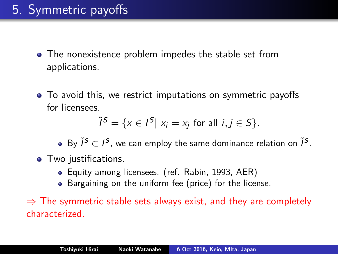- The nonexistence problem impedes the stable set from applications.
- To avoid this, we restrict imputations on symmetric payoffs for licensees.

$$
\tilde{l}^{S} = \{x \in I^{S} | x_i = x_j \text{ for all } i,j \in S\}.
$$

By  $\tilde{l}^S \subset l^S$ , we can employ the same dominance relation on  $\tilde{l}^S$ .

- Two justifications.
	- Equity among licensees. (ref. Rabin, 1993, AER)
	- Bargaining on the uniform fee (price) for the license.

 $\Rightarrow$  The symmetric stable sets always exist, and they are completely characterized.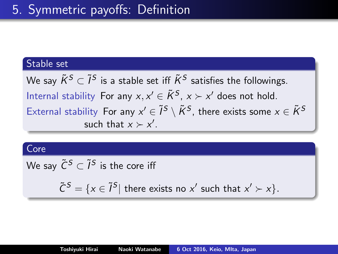### Stable set

We say  $\tilde K^S\subset \tilde I^S$  is a stable set iff  $\tilde K^S$  satisfies the followings. Internal stability For any  $x, x' \in \tilde{K}^{S}$ ,  $x \succ x'$  does not hold. External stability For any  $x'\in \tilde{I}^{\mathcal{S}}\setminus \tilde{K}^{\mathcal{S}}$ , there exists some  $x\in \tilde{K}^{\mathcal{S}}$ such that  $x \succ x'$ .

#### **Core**

We say  $\tilde{\mathsf{C}}^{\mathcal{S}} \subset \tilde{\mathsf{I}}^{\mathcal{S}}$  is the core iff

$$
\tilde{C}^{S} = \{x \in \tilde{I}^{S} | \text{ there exists no } x' \text{ such that } x' \succ x \}.
$$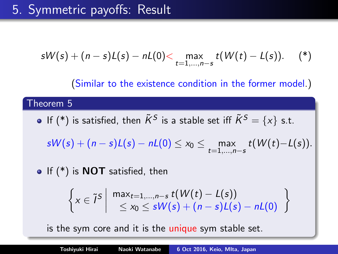$$
sW(s) + (n - s)L(s) - nL(0) < \max_{t=1,...,n-s} t(W(t) - L(s)).
$$
 (\*)

(Similar to the existence condition in the former model.)

#### Theorem 5

If  $(\ast)$  is satisfied, then  $\tilde{K}^{\mathcal{S}}$  is a stable set iff  $\tilde{K}^{\mathcal{S}}=\{x\}$  s.t.

 $\mathsf{s} \mathsf{W}(\mathsf{s}) + (n - \mathsf{s}) \mathsf{L}(\mathsf{s}) - n \mathsf{L}(0) \leq \mathsf{x}_0 \leq \max_{t=1,...,n-\mathsf{s}} \mathsf{t}(\mathsf{W}(t) {-} \mathsf{L}(\mathsf{s})).$ 

 $\bullet$  If (\*) is NOT satisfied, then

$$
\left\{x \in \tilde{I}^S \middle| \begin{array}{c}\max_{t=1,...,n-s} t(W(t)-L(s))\\ \leq x_0 \leq sW(s)+(n-s)L(s)-nL(0)\end{array}\right\}
$$

is the sym core and it is the unique sym stable set.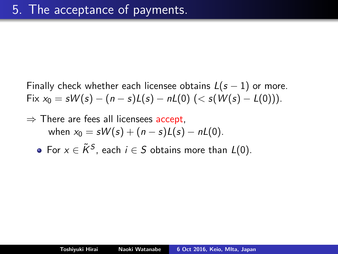Finally check whether each licensee obtains  $L(s - 1)$  or more. Fix  $x_0 = sW(s) - (n - s)L(s) - nL(0)$  (<  $s(W(s) - L(0))$ ).

- $\Rightarrow$  There are fees all licensees accept, when  $x_0 = sW(s) + (n - s)L(s) - nL(0)$ .
	- For  $x\in \tilde K^S$ , each  $i\in S$  obtains more than  $L(0).$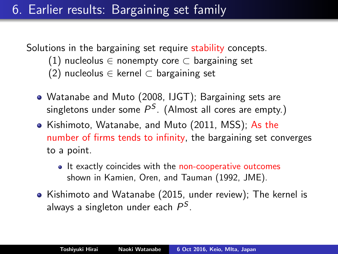# 6. Earlier results: Bargaining set family

Solutions in the bargaining set require stability concepts.

- (1) nucleolus  $\in$  nonempty core  $\subset$  bargaining set
- (2) nucleolus  $\in$  kernel  $\subset$  bargaining set
- Watanabe and Muto (2008, IJGT); Bargaining sets are singletons under some  $P^\mathcal{S}.$  (Almost all cores are empty.)
- Kishimoto, Watanabe, and Muto (2011, MSS); As the number of firms tends to infinity, the bargaining set converges to a point.
	- It exactly coincides with the non-cooperative outcomes shown in Kamien, Oren, and Tauman (1992, JME).
- Kishimoto and Watanabe (2015, under review); The kernel is always a singleton under each  $P^S$ .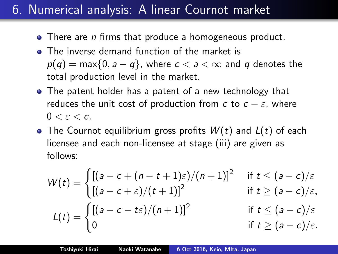## 6. Numerical analysis: A linear Cournot market

- There are *n* firms that produce a homogeneous product.
- **•** The inverse demand function of the market is  $p(q) = \max\{0, a - q\}$ , where  $c < a < \infty$  and q denotes the total production level in the market.
- The patent holder has a patent of a new technology that reduces the unit cost of production from c to  $c - \varepsilon$ , where  $0 < \varepsilon < c$ .
- The Cournot equilibrium gross profits  $W(t)$  and  $L(t)$  of each licensee and each non-licensee at stage (iii) are given as follows:

$$
W(t) = \begin{cases} [(a - c + (n - t + 1)\varepsilon)/(n + 1)]^2 & \text{if } t \le (a - c)/\varepsilon \\ [(a - c + \varepsilon)/(t + 1)]^2 & \text{if } t \ge (a - c)/\varepsilon, \\ (a - c - t\varepsilon)/(n + 1)]^2 & \text{if } t \le (a - c)/\varepsilon, \\ 0 & \text{if } t \ge (a - c)/\varepsilon. \end{cases}
$$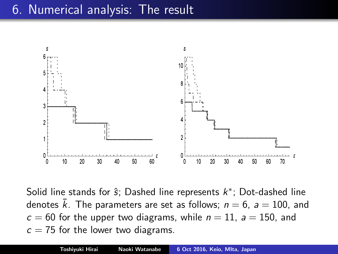### 6. Numerical analysis: The result



Solid line stands for  $\hat{s}$ ; Dashed line represents  $k^*$ ; Dot-dashed line denotes  $\bar{k}$ . The parameters are set as follows;  $n = 6$ ,  $a = 100$ , and  $c = 60$  for the upper two diagrams, while  $n = 11$ ,  $a = 150$ , and  $c = 75$  for the lower two diagrams.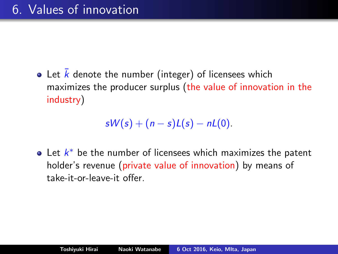• Let  $\overline{k}$  denote the number (integer) of licensees which maximizes the producer surplus (the value of innovation in the industry)

 $sW(s) + (n - s)L(s) - nL(0)$ .

Let  $k^*$  be the number of licensees which maximizes the patent holder's revenue (private value of innovation) by means of take-it-or-leave-it offer.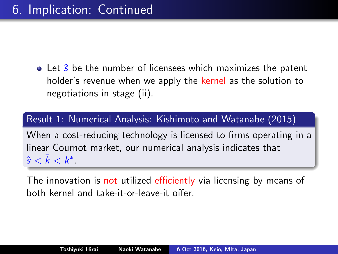$\bullet$  Let  $\hat{s}$  be the number of licensees which maximizes the patent holder's revenue when we apply the kernel as the solution to negotiations in stage (ii).

Result 1: Numerical Analysis: Kishimoto and Watanabe (2015)

When a cost-reducing technology is licensed to firms operating in a linear Cournot market, our numerical analysis indicates that  $\hat{\mathsf{s}} < \bar{k} < k^*.$ 

The innovation is not utilized efficiently via licensing by means of both kernel and take-it-or-leave-it offer.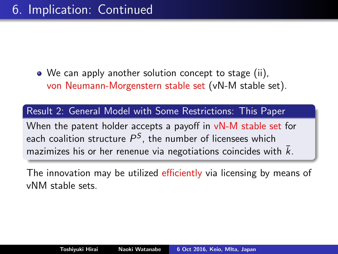We can apply another solution concept to stage (ii), von Neumann-Morgenstern stable set (vN-M stable set).

Result 2: General Model with Some Restrictions: This Paper

When the patent holder accepts a payoff in vN-M stable set for each coalition structure  $P^\mathcal{S}$ , the number of licensees which mazimizes his or her renenue via negotiations coincides with  $\bar{k}.$ 

The innovation may be utilized efficiently via licensing by means of vNM stable sets.